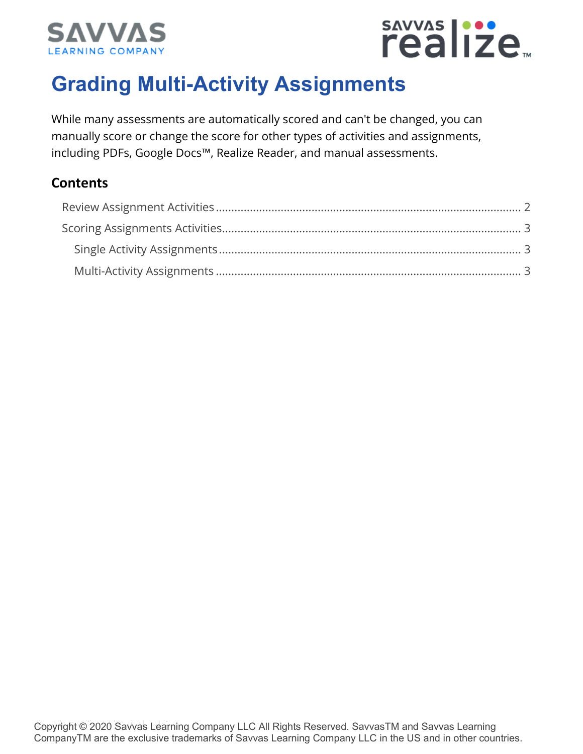



## **Grading Multi-Activity Assignments**

While many assessments are automatically scored and can't be changed, you can manually score or change the score for other types of activities and assignments, including PDFs, Google Docs™, Realize Reader, and manual assessments.

### **Contents**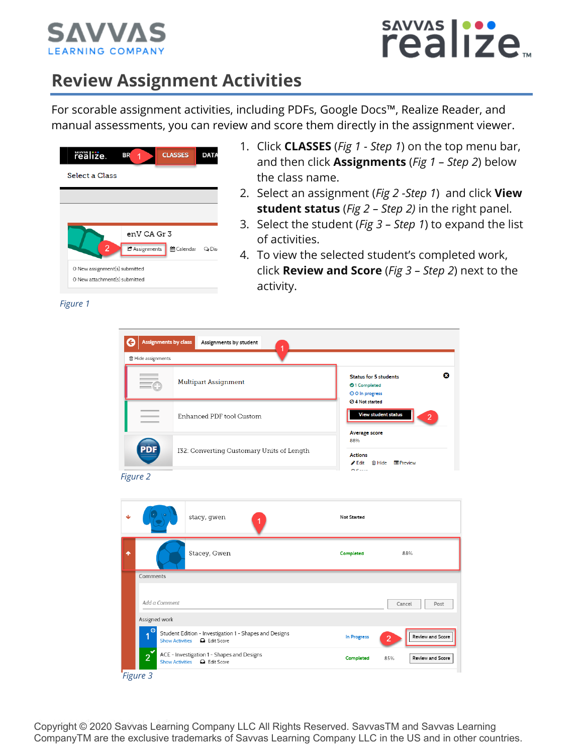

# sAVVAS |...<br>realize<sub>™</sub>

## **Review Assignment Activities**

For scorable assignment activities, including PDFs, Google Docs™, Realize Reader, and manual assessments, you can review and score them directly in the assignment viewer.

| realize.                      | <b>BR</b><br>1 | <b>CLASSES</b> | <b>DATA</b>     |
|-------------------------------|----------------|----------------|-----------------|
| Select a Class                |                |                |                 |
|                               |                |                |                 |
|                               |                |                |                 |
|                               | enV CA Gr 3    |                |                 |
| $\overline{2}$                | C Assignments  | 篇 Calendar     | $\bigcirc$ Disc |
| O New assignment(s) submitted |                |                |                 |
| O New attachment(s) submitted |                |                |                 |

- 1. Click **CLASSES** (*Fig 1 - Step 1*) on the top menu bar, and then click **Assignments** (*Fig 1 – Step 2*) below the class name.
- 2. Select an assignment (*Fig 2 -Step 1*) and click **View student status** (*Fig 2 – Step 2)* in the right panel.
- 3. Select the student (*Fig 3 – Step 1*) to expand the list of activities.
- 4. To view the selected student's completed work, click **Review and Score** (*Fig 3 – Step 2*) next to the activity.

| ← | Assignments by class  | Assignments by student<br>1                                                                    |                                                                         |                                    |
|---|-----------------------|------------------------------------------------------------------------------------------------|-------------------------------------------------------------------------|------------------------------------|
|   | 會 Hide assignments    |                                                                                                |                                                                         |                                    |
|   |                       | <b>Multipart Assignment</b>                                                                    | <b>Status for 5 students</b><br><b>O</b> 1 Completed<br>O O In progress | ø                                  |
|   |                       | Enhanced PDF tool Custom                                                                       | ⊘ 4 Not started<br><b>View student status</b><br><b>Average score</b>   | $\overline{2}$                     |
|   | 2D)                   | I32: Converting Customary Units of Length                                                      | 88%<br><b>Actions</b><br>$\triangle$ Edit<br>$n$ case                   | <b><sup>俞</sup> Hide 国 Preview</b> |
|   | Figure 2              |                                                                                                |                                                                         |                                    |
|   |                       |                                                                                                |                                                                         |                                    |
|   |                       | stacy, gwen                                                                                    | Not Started                                                             |                                    |
| ٠ |                       | Stacey, Gwen                                                                                   | Completed                                                               | 88%                                |
|   | Comments              |                                                                                                |                                                                         |                                    |
|   | Add a Comment         |                                                                                                |                                                                         | Cancel<br>Post                     |
|   | Assigned work         |                                                                                                |                                                                         |                                    |
|   | O<br>1                | Student Edition - Investigation 1 - Shapes and Designs<br><b>Show Activities</b><br>Edit Score | In Progress                                                             | Review and Score<br>$\overline{2}$ |
|   | $\boldsymbol{\delta}$ | ACE - Investigation 1 - Shapes and Designs<br><b>Q</b> Edit Score<br><b>Show Activities</b>    | Completed                                                               | Review and Score<br>85%            |
|   | Figure 3              |                                                                                                |                                                                         |                                    |

*Figure 1*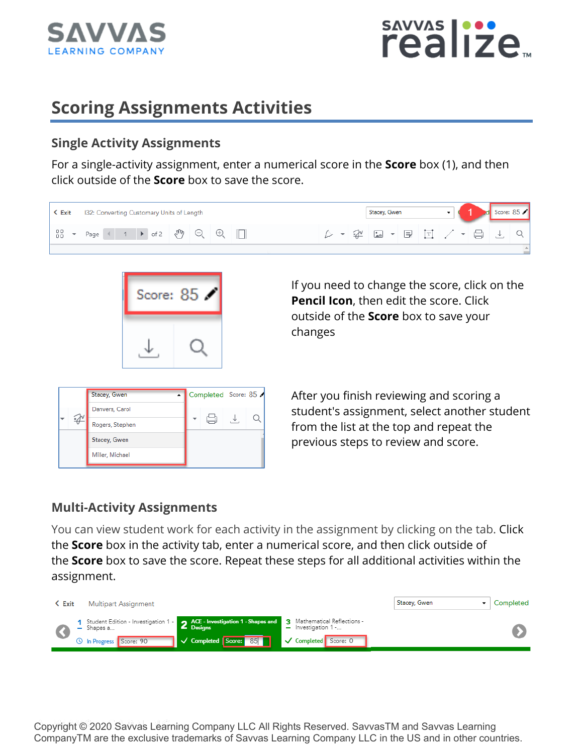



## **Scoring Assignments Activities**

#### **Single Activity Assignments**

For a single-activity assignment, enter a numerical score in the **Score** box (1), and then click outside of the **Score** box to save the score.

| $\leq$ Exit | 132: Converting Customary Units of Length               |  |          |  |  | Stacey, Gwen           |  |  |  | Score: 85 |
|-------------|---------------------------------------------------------|--|----------|--|--|------------------------|--|--|--|-----------|
| 88          | Page $\left(1 + \text{ of } 2 \quad \text{and} \quad Q$ |  | $\oplus$ |  |  | 12   ロ - 国 回 / - 日 」 J |  |  |  |           |
|             |                                                         |  |          |  |  |                        |  |  |  |           |



If you need to change the score, click on the **Pencil Icon**, then edit the score. Click outside of the **Score** box to save your changes

| Stacey, Gwen    | Completed Score: 85 |  |
|-----------------|---------------------|--|
| Danvers, Carol  |                     |  |
| Rogers, Stephen |                     |  |
| Stacey, Gwen    |                     |  |
| Miller, Michael |                     |  |

After you finish reviewing and scoring a student's assignment, select another student from the list at the top and repeat the previous steps to review and score.

### **Multi-Activity Assignments**

You can view student work for each activity in the assignment by clicking on the tab. Click the **Score** box in the activity tab, enter a numerical score, and then click outside of the **Score** box to save the score. Repeat these steps for all additional activities within the assignment.

| < Exit | <b>Multipart Assignment</b>                                                                                           |                                      |                       | Stacey, Gwen | Completed |
|--------|-----------------------------------------------------------------------------------------------------------------------|--------------------------------------|-----------------------|--------------|-----------|
|        | Student Edition - Investigation 1 - 3 ACE - Investigation 1 - Shapes and 3 Mathematical Reflections -<br>$-$ Shapes a | L Designs                            | $-$ Investigation 1 - |              |           |
|        | <b>O</b> In Progress Score: 90                                                                                        | <b>TV</b> Completed Score: 85<br>. . | Completed Score: 0    |              |           |

Copyright © 2020 Savvas Learning Company LLC All Rights Reserved. SavvasTM and Savvas Learning CompanyTM are the exclusive trademarks of Savvas Learning Company LLC in the US and in other countries.